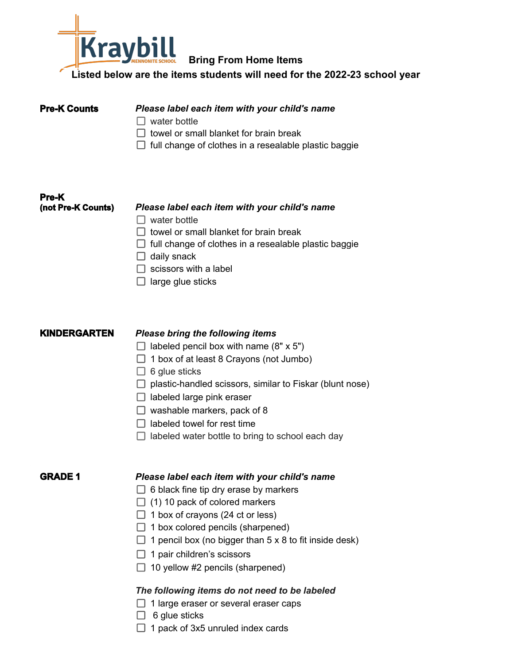

# **Bring From Home Items**

**Listed below are the items students will need for the 2022-23 school year**

- **Please label each item with your child's name**
- $\Box$  water bottle
- $\Box$  towel or small blanket for brain break
- $\Box$  full change of clothes in a resealable plastic baggie

# **Pre-K (not Pre-K Counts)** *Please label each item with your child's name*  $\Box$  water bottle

- $\Box$  towel or small blanket for brain break
- $\Box$  full change of clothes in a resealable plastic baggie
- $\Box$  daily snack
- $\Box$  scissors with a label
- $\Box$  large glue sticks

# **KINDERGARTEN** *Please bring the following items*

- $\Box$  labeled pencil box with name (8" x 5")
- $\Box$  1 box of at least 8 Crayons (not Jumbo)
- $\Box$  6 glue sticks
- $\Box$  plastic-handled scissors, similar to Fiskar (blunt nose)
- $\Box$  labeled large pink eraser
- $\Box$  washable markers, pack of 8
- $\Box$  labeled towel for rest time
- $\Box$  labeled water bottle to bring to school each day

# **GRADE 1** *Please label each item with your child's name*

- $\Box$  6 black fine tip dry erase by markers
- $\Box$  (1) 10 pack of colored markers
- $\Box$  1 box of crayons (24 ct or less)
- $\Box$  1 box colored pencils (sharpened)
- $\Box$  1 pencil box (no bigger than 5 x 8 to fit inside desk)
- $\Box$  1 pair children's scissors
- $\Box$  10 yellow #2 pencils (sharpened)

# *The following items do not need to be labeled*

- $\Box$  1 large eraser or several eraser caps
- $\Box$  6 glue sticks
- $\Box$  1 pack of 3x5 unruled index cards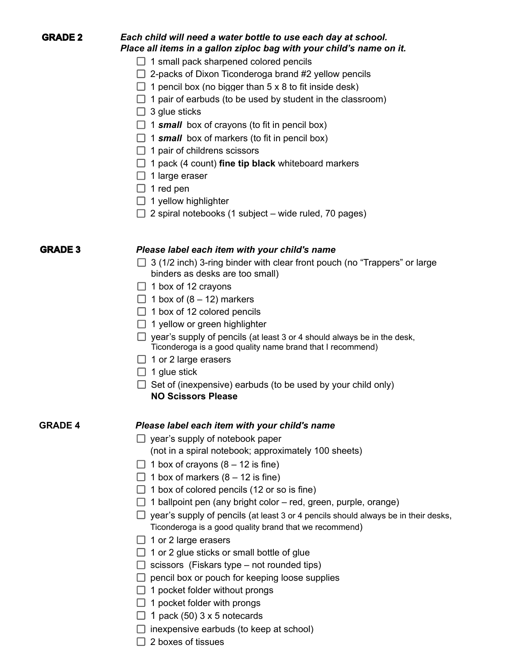| А<br>Ï<br>г.<br>₩<br>1 L J<br>ш |  |
|---------------------------------|--|
|---------------------------------|--|

# **GRADE 2** *Each child will need a water bottle to use each day at school. Place all items in a gallon ziploc bag with your child's name on it.*

- $\Box$  1 small pack sharpened colored pencils
- $\Box$  2-packs of Dixon Ticonderoga brand #2 yellow pencils
- $\Box$  1 pencil box (no bigger than 5 x 8 to fit inside desk)
- $\Box$  1 pair of earbuds (to be used by student in the classroom)
- $\Box$  3 glue sticks
- $\Box$  1 **small** box of crayons (to fit in pencil box)
- $\Box$  1 **small** box of markers (to fit in pencil box)
- $\Box$  1 pair of childrens scissors
- □ 1 pack (4 count) **fine tip black** whiteboard markers
- $\Box$  1 large eraser
- $\Box$  1 red pen
- $\Box$  1 yellow highlighter
- $\Box$  2 spiral notebooks (1 subject wide ruled, 70 pages)

### **GRADE 3** *Please label each item with your child's name*

- $\Box$  3 (1/2 inch) 3-ring binder with clear front pouch (no "Trappers" or large binders as desks are too small)
- $\Box$  1 box of 12 crayons
- $\Box$  1 box of (8 12) markers
- $\Box$  1 box of 12 colored pencils
- $\Box$  1 yellow or green highlighter
- $\Box$  year's supply of pencils (at least 3 or 4 should always be in the desk, Ticonderoga is a good quality name brand that I recommend)
- $\Box$  1 or 2 large erasers
- $\Box$  1 glue stick
- $\Box$  Set of (inexpensive) earbuds (to be used by your child only) **NO Scissors Please**

## **GRADE 4** *Please label each item with your child's name*

- $\Box$  year's supply of notebook paper (not in a spiral notebook; approximately 100 sheets)
- $\Box$  1 box of crayons (8 12 is fine)
- $\Box$  1 box of markers (8 12 is fine)
- $\Box$  1 box of colored pencils (12 or so is fine)
- $\Box$  1 ballpoint pen (any bright color red, green, purple, orange)
- $\Box$  year's supply of pencils (at least 3 or 4 pencils should always be in their desks, Ticonderoga is a good quality brand that we recommend)
- $\Box$  1 or 2 large erasers
- $\Box$  1 or 2 glue sticks or small bottle of glue
- $\Box$  scissors (Fiskars type not rounded tips)
- $\Box$  pencil box or pouch for keeping loose supplies
- $\Box$  1 pocket folder without prongs
- $\Box$  1 pocket folder with prongs
- $\Box$  1 pack (50) 3 x 5 notecards
- $\Box$  inexpensive earbuds (to keep at school)
- $\Box$  2 boxes of tissues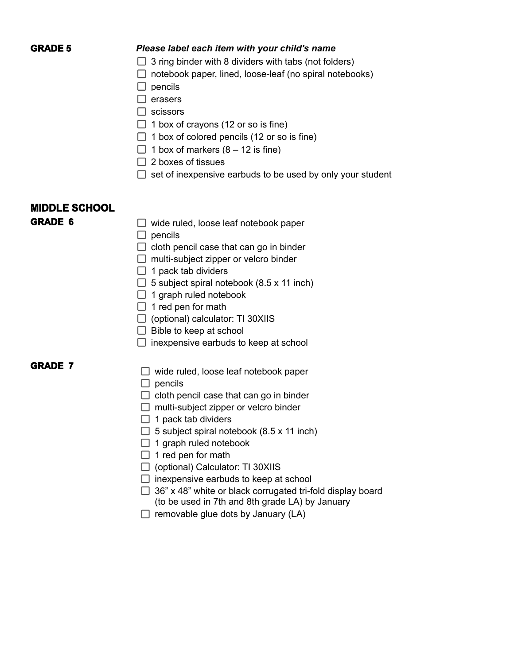### **GRADE 5** *Please label each item with your child's name*

- $\Box$  3 ring binder with 8 dividers with tabs (not folders)
- $\Box$  notebook paper, lined, loose-leaf (no spiral notebooks)
- $\Box$  pencils
- $\Box$  erasers
- $\Box$  scissors
- $\Box$  1 box of crayons (12 or so is fine)
- $\Box$  1 box of colored pencils (12 or so is fine)
- $\Box$  1 box of markers (8 12 is fine)
- $\Box$  2 boxes of tissues
- $\Box$  set of inexpensive earbuds to be used by only your student

# **MIDDLE SCHOOL**

- **GRADE 6** □ wide ruled, loose leaf notebook paper
	- $\Box$  pencils
	- $\Box$  cloth pencil case that can go in binder
	- $\Box$  multi-subject zipper or velcro binder
	- $\Box$  1 pack tab dividers
	- $\Box$  5 subject spiral notebook (8.5 x 11 inch)
	- $\Box$  1 graph ruled notebook
	- $\Box$  1 red pen for math
	- $\Box$  (optional) calculator: TI 30XIIS
	- $\Box$  Bible to keep at school
	- $\Box$  inexpensive earbuds to keep at school

# **GRADE 7**

- $\Box$  wide ruled, loose leaf notebook paper
- $\Box$  pencils
- $\Box$  cloth pencil case that can go in binder
- $\Box$  multi-subject zipper or velcro binder
- $\Box$  1 pack tab dividers
- $\Box$  5 subject spiral notebook (8.5 x 11 inch)
- $\Box$  1 graph ruled notebook
- $\Box$  1 red pen for math
- $\Box$  (optional) Calculator: TI 30XIIS
- $\Box$  inexpensive earbuds to keep at school
- $\Box$  36" x 48" white or black corrugated tri-fold display board (to be used in 7th and 8th grade LA) by January
- $\Box$  removable glue dots by January (LA)